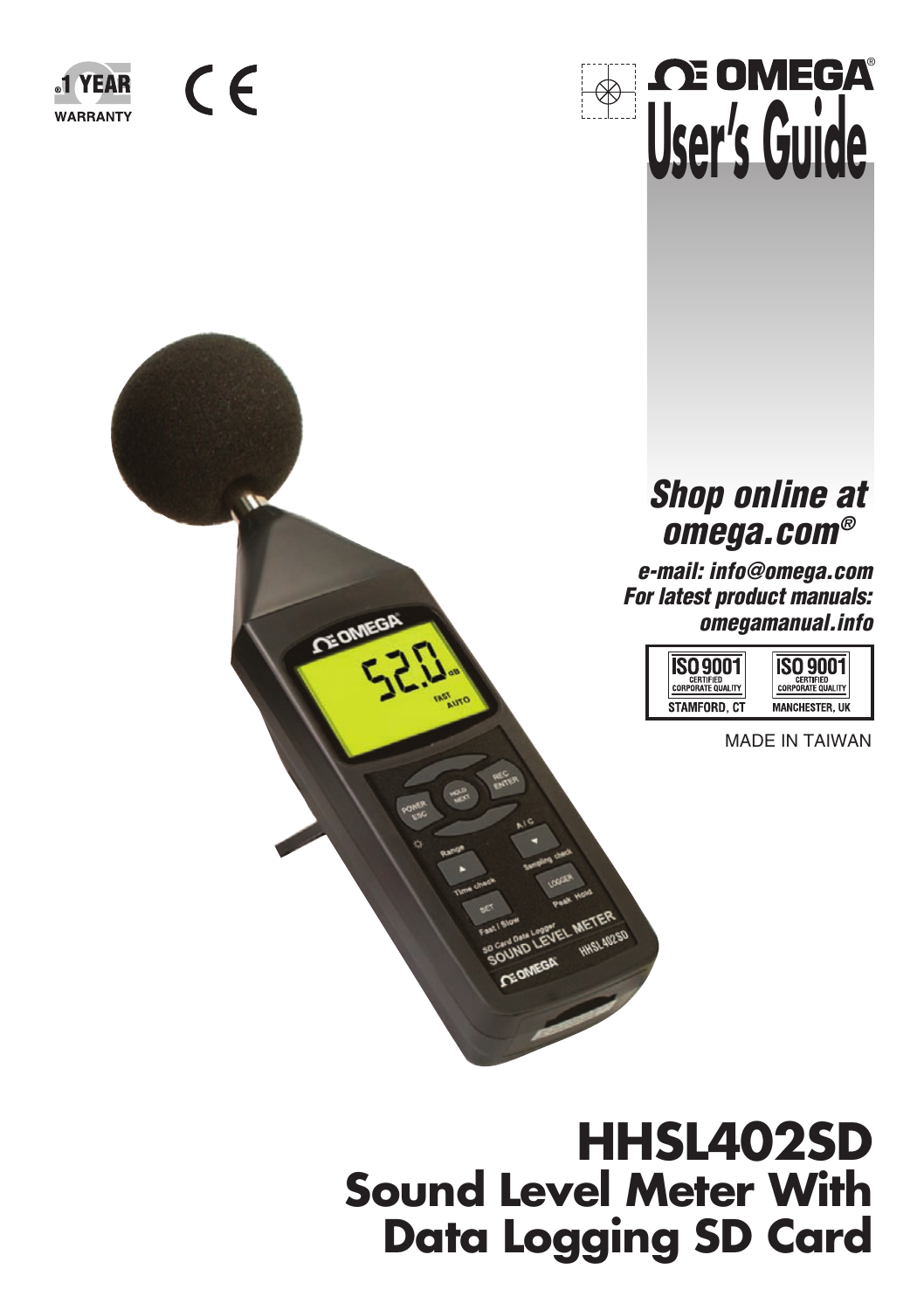



**CE OME!** 



### **Shop online at omega.com®**

**e-mail: info@omega.com For latest product manuals: omegamanual.info**

| <b>CERTIFIED</b> | CERTIFIED             |
|------------------|-----------------------|
| PORATE OIL       | <b>ORATE OUA</b>      |
| STAMFORD, CT     | <b>MANCHESTER, UK</b> |

MADE IN TAIWAN

# **HHSL402SD Sound Level Meter With Data Logging SD Card**

**METER**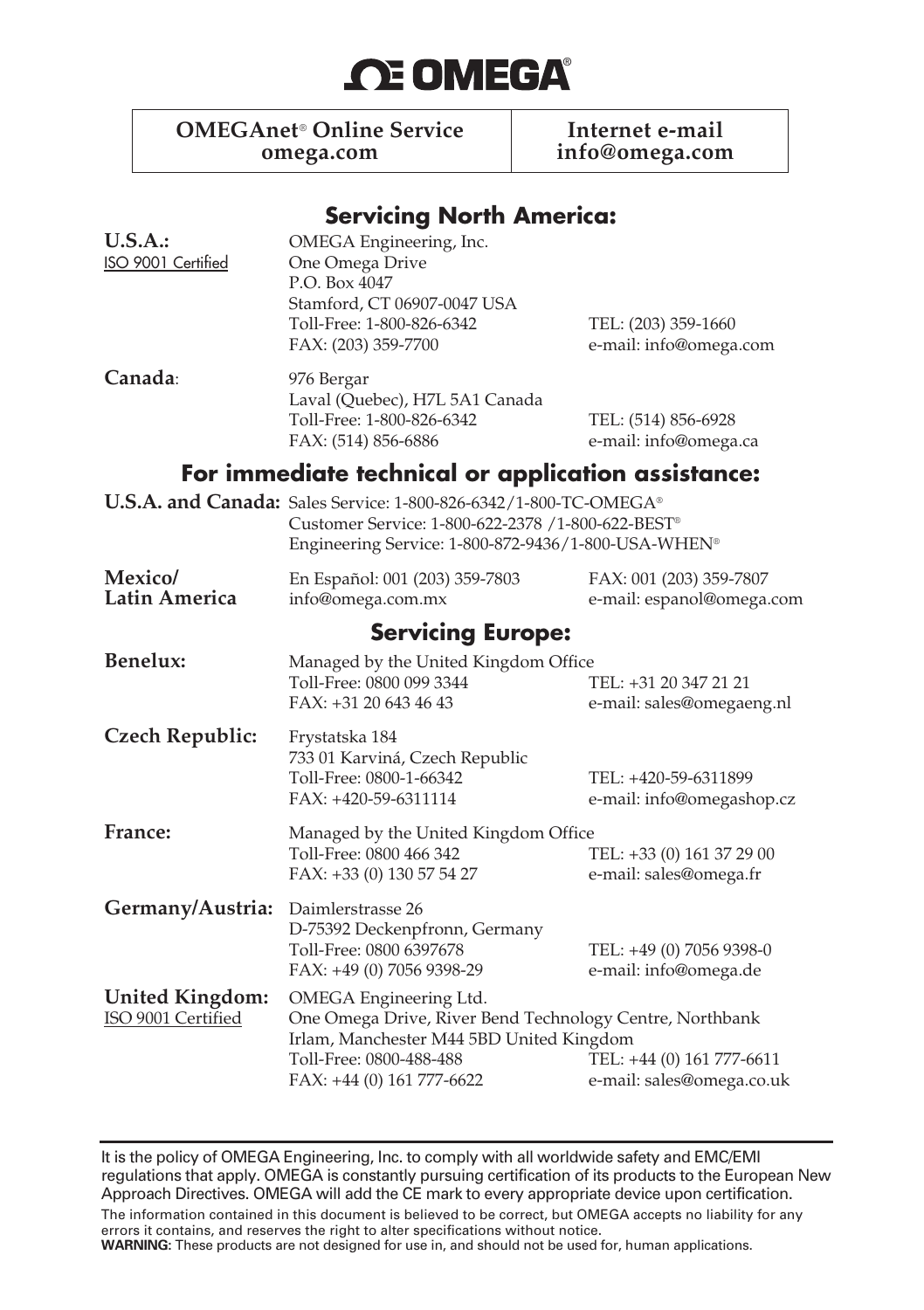# **OE OMEGA®**

**OMEGAnet<sup>®</sup> Online Service Internet e-mail<br>
omega.com Info@omega.com Info@omega.com omega.com info@omega.com**

#### **Servicing North America:**

| U.S.A.<br>ISO 9001 Certified                 | OMEGA Engineering, Inc.<br>One Omega Drive<br>P.O. Box 4047<br>Stamford, CT 06907-0047 USA<br>Toll-Free: 1-800-826-6342<br>FAX: (203) 359-7700                                         | TEL: (203) 359-1660<br>e-mail: info@omega.com          |  |
|----------------------------------------------|----------------------------------------------------------------------------------------------------------------------------------------------------------------------------------------|--------------------------------------------------------|--|
| Canada:                                      | 976 Bergar<br>Laval (Quebec), H7L 5A1 Canada<br>Toll-Free: 1-800-826-6342<br>TEL: (514) 856-6928<br>e-mail: info@omega.ca<br>FAX: (514) 856-6886                                       |                                                        |  |
|                                              | For immediate technical or application assistance:                                                                                                                                     |                                                        |  |
|                                              | U.S.A. and Canada: Sales Service: 1-800-826-6342/1-800-TC-OMEGA®<br>Customer Service: 1-800-622-2378 /1-800-622-BEST®<br>Engineering Service: 1-800-872-9436/1-800-USA-WHEN®           |                                                        |  |
| Mexico/<br>Latin America                     | En Español: 001 (203) 359-7803<br>info@omega.com.mx                                                                                                                                    | FAX: 001 (203) 359-7807<br>e-mail: espanol@omega.com   |  |
|                                              | <b>Servicing Europe:</b>                                                                                                                                                               |                                                        |  |
| Benelux:                                     | Managed by the United Kingdom Office<br>Toll-Free: 0800 099 3344<br>FAX: +31 20 643 46 43                                                                                              | TEL: +31 20 347 21 21<br>e-mail: sales@omegaeng.nl     |  |
| Czech Republic:                              | Frystatska 184<br>733 01 Karviná, Czech Republic<br>Toll-Free: 0800-1-66342<br>FAX: +420-59-6311114                                                                                    | TEL: +420-59-6311899<br>e-mail: info@omegashop.cz      |  |
| France:                                      | Managed by the United Kingdom Office<br>Toll-Free: 0800 466 342<br>FAX: +33 (0) 130 57 54 27                                                                                           | TEL: +33 (0) 161 37 29 00<br>e-mail: sales@omega.fr    |  |
| Germany/Austria:                             | Daimlerstrasse 26<br>D-75392 Deckenpfronn, Germany<br>Toll-Free: 0800 6397678<br>FAX: +49 (0) 7056 9398-29                                                                             | TEL: +49 (0) 7056 9398-0<br>e-mail: info@omega.de      |  |
| <b>United Kingdom:</b><br>ISO 9001 Certified | OMEGA Engineering Ltd.<br>One Omega Drive, River Bend Technology Centre, Northbank<br>Irlam, Manchester M44 5BD United Kingdom<br>Toll-Free: 0800-488-488<br>FAX: +44 (0) 161 777-6622 | TEL: +44 (0) 161 777-6611<br>e-mail: sales@omega.co.uk |  |

It is the policy of OMEGA Engineering, Inc. to comply with all worldwide safety and EMC/EMI regulations that apply. OMEGA is constantly pursuing certification of its products to the European New Approach Directives. OMEGA will add the CE mark to every appropriate device upon certification.

The information contained in this document is believed to be correct, but OMEGA accepts no liability for any errors it contains, and reserves the right to alter specifications without notice.

**WARNING:** These products are not designed for use in, and should not be used for, human applications.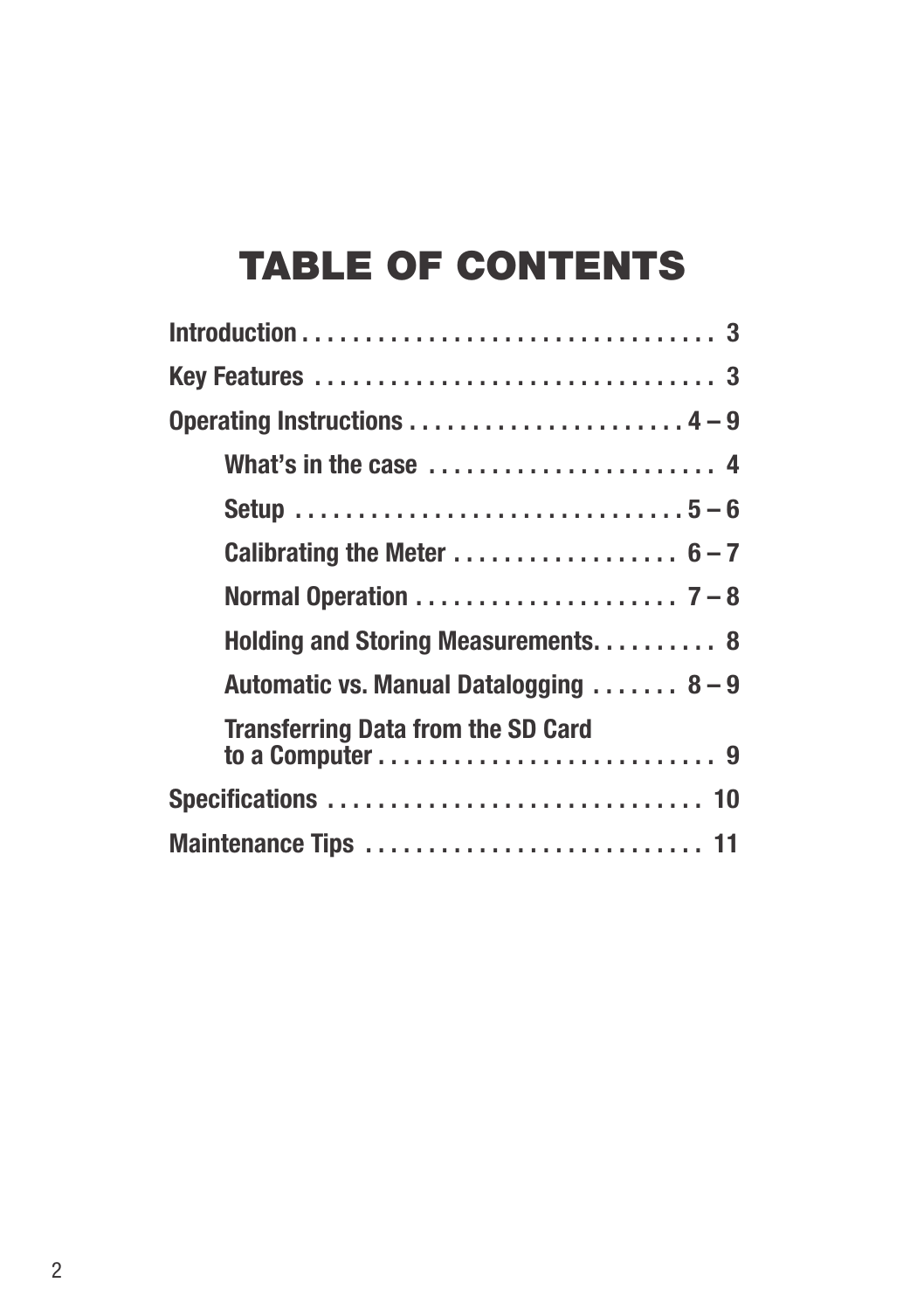# TABLE OF CONTENTS

| Calibrating the Meter $6-7$                                                                                          |
|----------------------------------------------------------------------------------------------------------------------|
|                                                                                                                      |
| Holding and Storing Measurements 8                                                                                   |
| Automatic vs. Manual Datalogging  8-9                                                                                |
| <b>Transferring Data from the SD Card</b><br>to a Computer $\ldots \ldots \ldots \ldots \ldots \ldots \ldots \ldots$ |
|                                                                                                                      |
| Maintenance Tips  11                                                                                                 |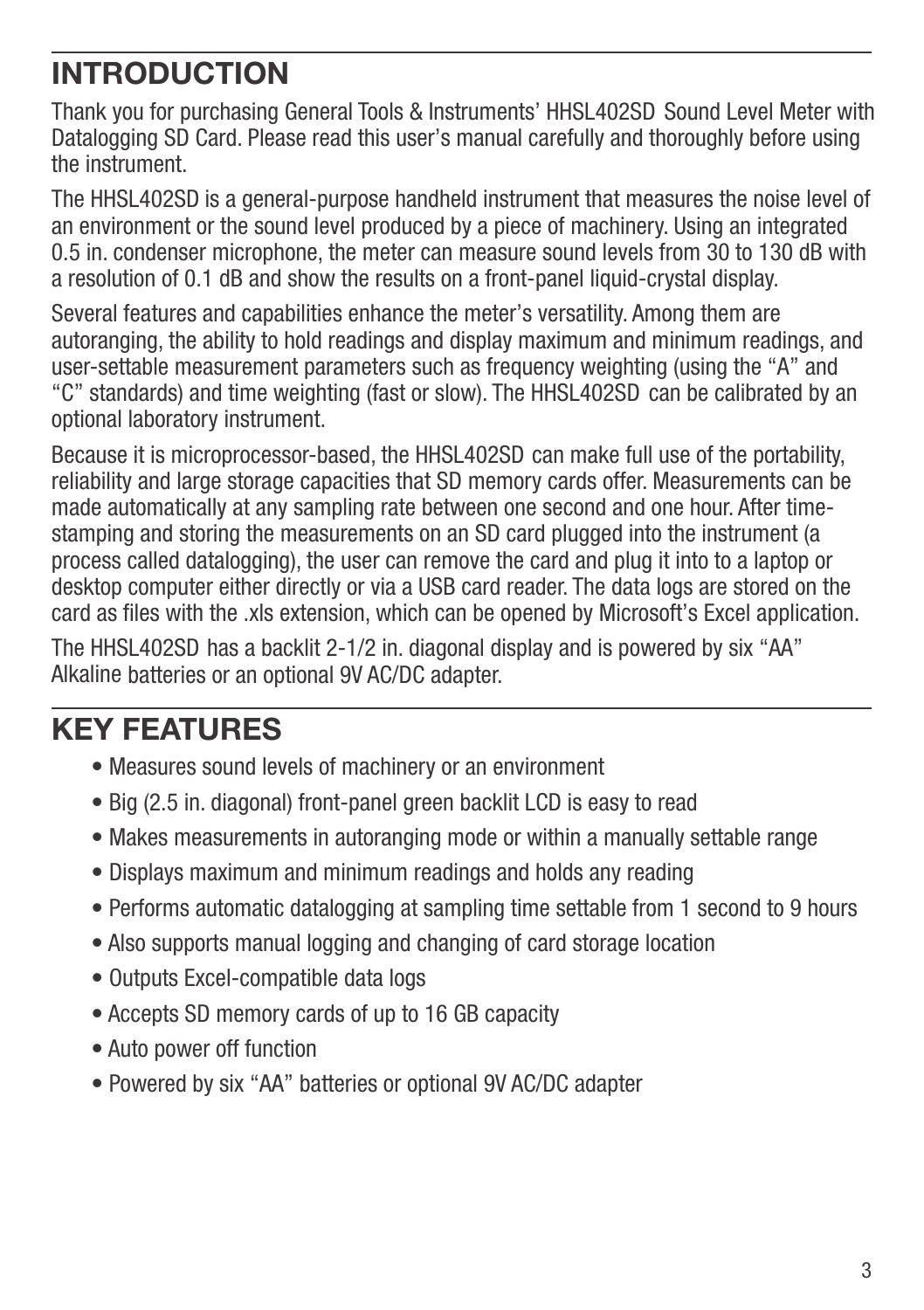# **INTRODUCTION**

Thank you for purchasing General Tools & Instruments' HHSL402SD Sound Level Meter with Datalogging SD Card. Please read this user's manual carefully and thoroughly before using the instrument.

The HHSL402SD is a general-purpose handheld instrument that measures the noise level of an environment or the sound level produced by a piece of machinery. Using an integrated 0.5 in. condenser microphone, the meter can measure sound levels from 30 to 130 dB with a resolution of 0.1 dB and show the results on a front-panel liquid-crystal display.

Several features and capabilities enhance the meter's versatility. Among them are autoranging, the ability to hold readings and display maximum and minimum readings, and user-settable measurement parameters such as frequency weighting (using the "A" and "C" standards) and time weighting (fast or slow). The HHSL402SD can be calibrated by an optional laboratory instrument.

Because it is microprocessor-based, the HHSL402SD can make full use of the portability, reliability and large storage capacities that SD memory cards offer. Measurements can be made automatically at any sampling rate between one second and one hour. After timestamping and storing the measurements on an SD card plugged into the instrument (a process called datalogging), the user can remove the card and plug it into to a laptop or desktop computer either directly or via a USB card reader. The data logs are stored on the card as files with the .xls extension, which can be opened by Microsoft's Excel application.

The HHSL402SD has a backlit 2-1/2 in. diagonal display and is powered by six "AA" Alkaline batteries or an optional 9V AC/DC adapter.

# **KEY FEATURES**

- Measures sound levels of machinery or an environment
- Big (2.5 in. diagonal) front-panel green backlit LCD is easy to read
- Makes measurements in autoranging mode or within a manually settable range
- Displays maximum and minimum readings and holds any reading
- Performs automatic datalogging at sampling time settable from 1 second to 9 hours
- Also supports manual logging and changing of card storage location
- Outputs Excel-compatible data logs
- Accepts SD memory cards of up to 16 GB capacity
- Auto power off function
- Powered by six "AA" batteries or optional 9V AC/DC adapter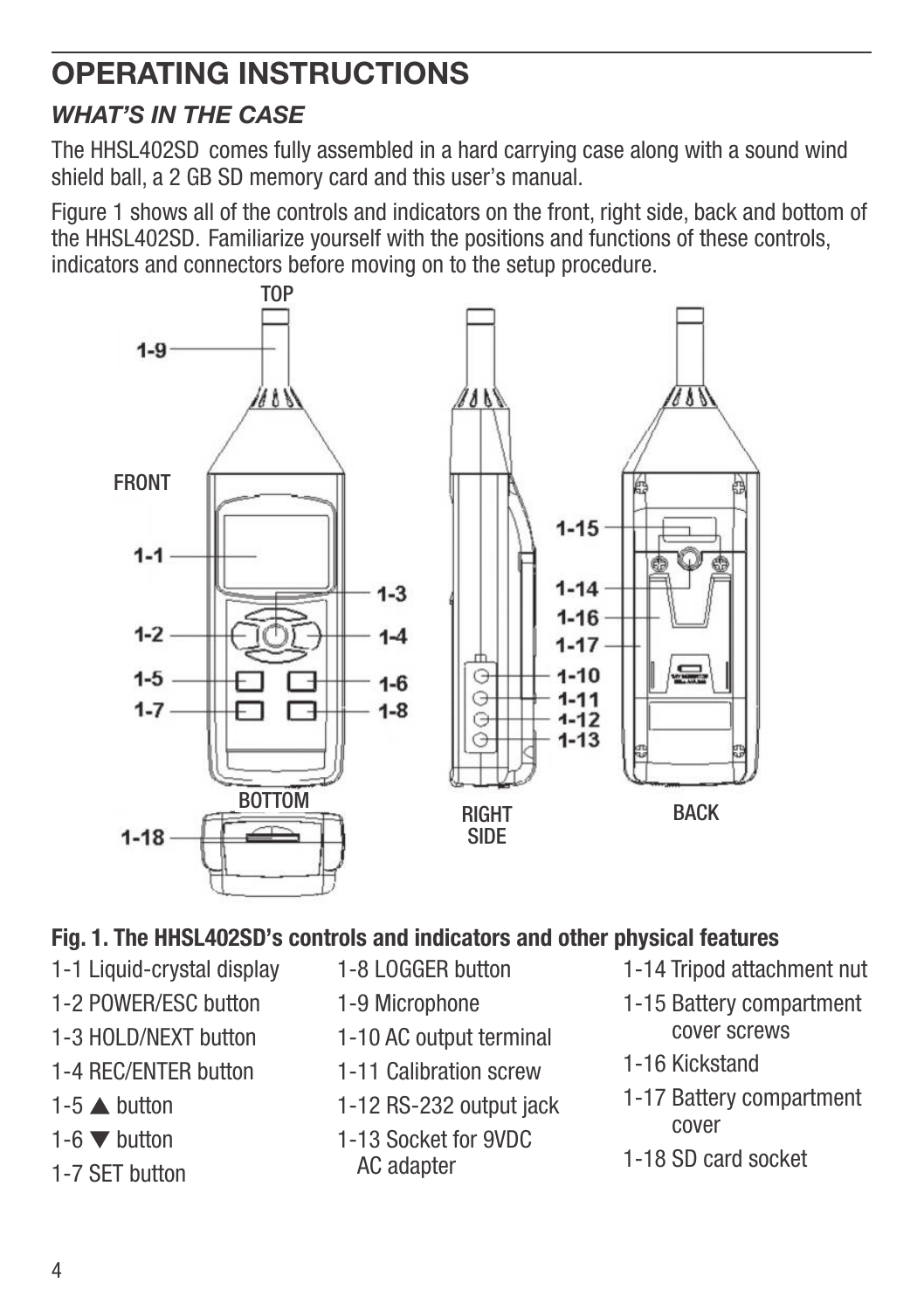# **OPERATING INSTRUCTIONS**

#### *WHAT'S IN THE CASE*

The HHSL402SD comes fully assembled in a hard carrying case along with a sound wind shield ball, a 2 GB SD memory card and this user's manual.

Figure 1 shows all of the controls and indicators on the front, right side, back and bottom of the HHSL402SD. Familiarize yourself with the positions and functions of these controls, indicators and connectors before moving on to the setup procedure.



#### **Fig. 1. The HHSL402SD's controls and indicators and other physical features**

- 1-1 Liquid-crystal display
- 1-2 POWER/ESC button
- 1-3 HOLD/NEXT button
- 1-4 REC/ENTER button
- 1-5  $\triangle$  button
- 1-6  $\nabla$  button
- 1-7 SET button
- 1-8 LOGGER button
- 1-9 Microphone
- 1-10 AC output terminal
- 1-11 Calibration screw
- 1-12 RS-232 output jack
- 1-13 Socket for 9VDC AC adapter
- 1-14 Tripod attachment nut
- 1-15 Battery compartment cover screws
- 1-16 Kickstand
- 1-17 Battery compartment cover
- 1-18 SD card socket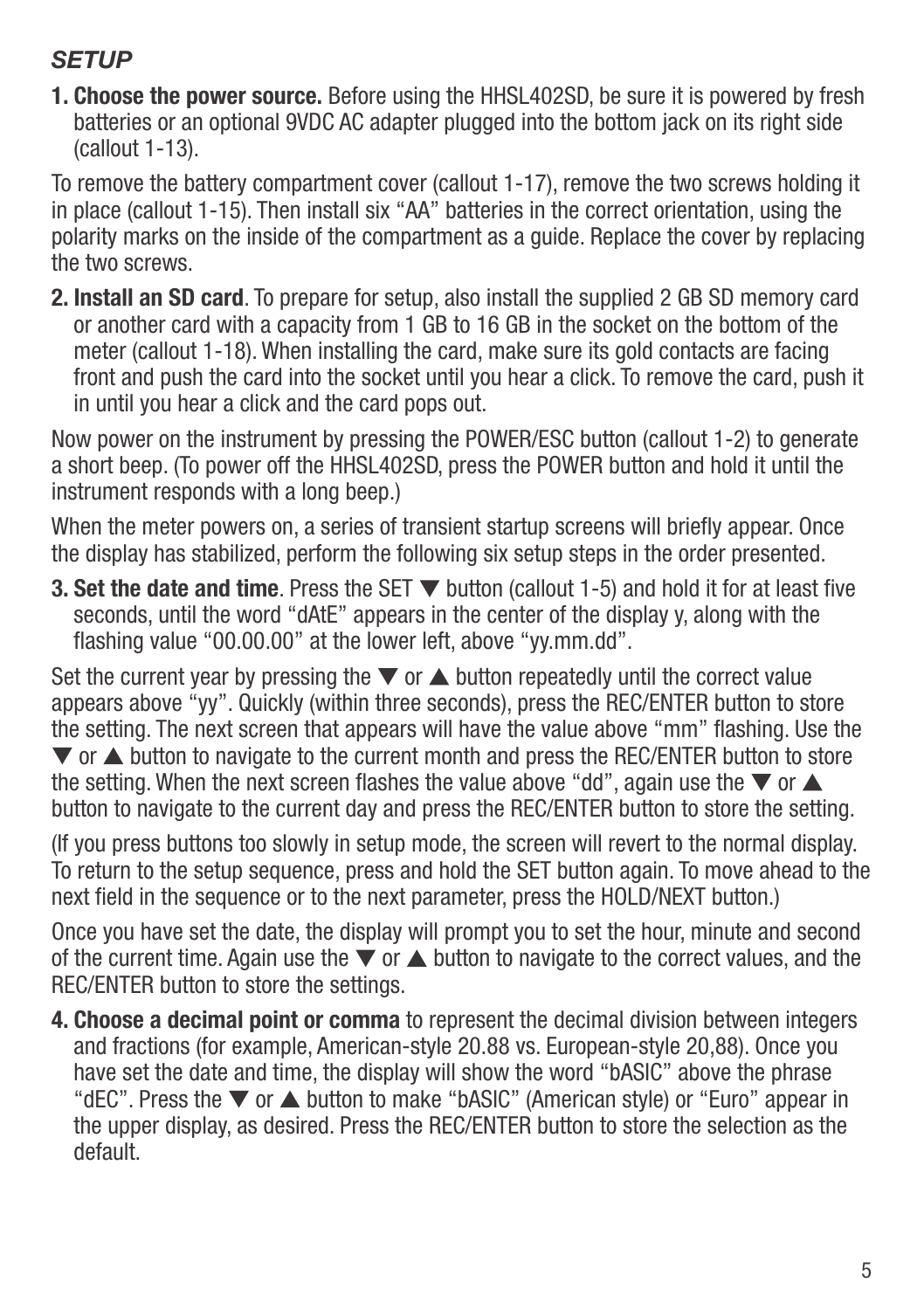#### *SETUP*

**1. Choose the power source.** Before using the HHSL402SD, be sure it is powered by fresh batteries or an optional 9VDC AC adapter plugged into the bottom jack on its right side (callout 1-13).

To remove the battery compartment cover (callout 1-17), remove the two screws holding it in place (callout 1-15). Then install six "AA" batteries in the correct orientation, using the polarity marks on the inside of the compartment as a guide. Replace the cover by replacing the two screws.

**2. Install an SD card**. To prepare for setup, also install the supplied 2 GB SD memory card or another card with a capacity from 1 GB to 16 GB in the socket on the bottom of the meter (callout 1-18). When installing the card, make sure its gold contacts are facing front and push the card into the socket until you hear a click. To remove the card, push it in until you hear a click and the card pops out.

Now power on the instrument by pressing the POWER/ESC button (callout 1-2) to generate a short beep. (To power off the HHSL402SD, press the POWER button and hold it until the instrument responds with a long beep.)

When the meter powers on, a series of transient startup screens will briefly appear. Once the display has stabilized, perform the following six setup steps in the order presented.

**3. Set the date and time**. Press the SET ▼ button (callout 1-5) and hold it for at least five seconds, until the word "dAtE" appears in the center of the display y, along with the flashing value "00.00.00" at the lower left, above "yy.mm.dd".

Set the current year by pressing the  $\nabla$  or  $\triangle$  button repeatedly until the correct value appears above "yy". Quickly (within three seconds), press the REC/ENTER button to store the setting. The next screen that appears will have the value above "mm" flashing. Use the  $\blacktriangledown$  or  $\blacktriangle$  button to navigate to the current month and press the REC/ENTER button to store the setting. When the next screen flashes the value above "dd", again use the  $\blacktriangledown$  or  $\blacktriangle$ button to navigate to the current day and press the REC/ENTER button to store the setting.

(If you press buttons too slowly in setup mode, the screen will revert to the normal display. To return to the setup sequence, press and hold the SET button again. To move ahead to the next field in the sequence or to the next parameter, press the HOLD/NEXT button.)

Once you have set the date, the display will prompt you to set the hour, minute and second of the current time. Again use the  $\blacktriangledown$  or  $\blacktriangle$  button to navigate to the correct values, and the REC/ENTER button to store the settings.

**4. Choose a decimal point or comma** to represent the decimal division between integers and fractions (for example, American-style 20.88 vs. European-style 20,88). Once you have set the date and time, the display will show the word "bASIC" above the phrase "dEC". Press the  $\nabla$  or  $\blacktriangle$  button to make "bASIC" (American style) or "Euro" appear in the upper display, as desired. Press the REC/ENTER button to store the selection as the default.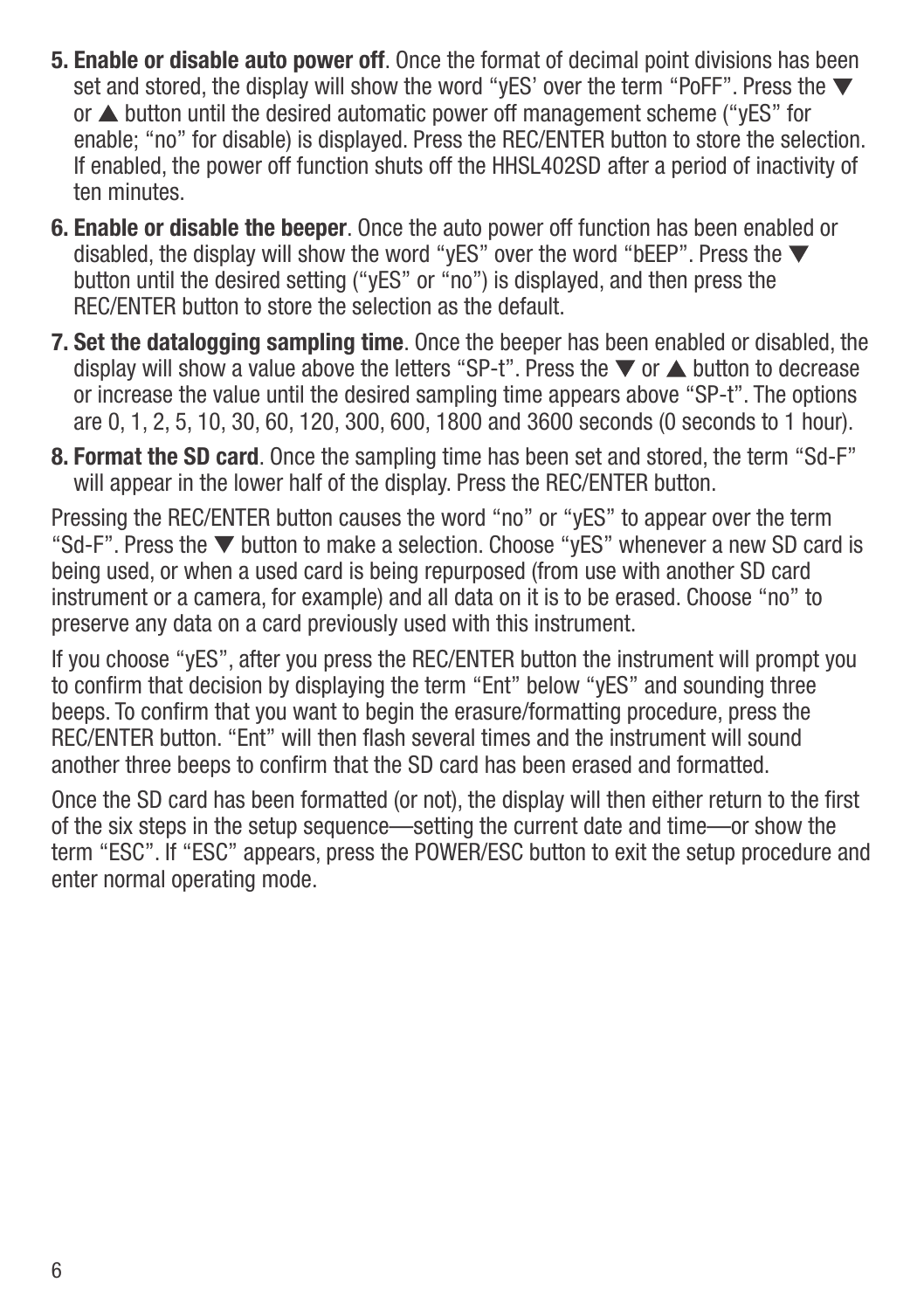- **5. Enable or disable auto power off**. Once the format of decimal point divisions has been set and stored, the display will show the word "yES' over the term "PoFF". Press the  $\blacktriangledown$ or  $\triangle$  button until the desired automatic power off management scheme ("vES" for enable; "no" for disable) is displayed. Press the REC/ENTER button to store the selection. If enabled, the power off function shuts off the HHSL402SD after a period of inactivity of ten minutes.
- **6. Enable or disable the beeper**. Once the auto power off function has been enabled or disabled, the display will show the word "yES" over the word "bEEP". Press the  $\blacktriangledown$ button until the desired setting ("yES" or "no") is displayed, and then press the REC/ENTER button to store the selection as the default.
- **7. Set the datalogging sampling time**. Once the beeper has been enabled or disabled, the display will show a value above the letters "SP-t". Press the  $\blacktriangledown$  or  $\blacktriangle$  button to decrease or increase the value until the desired sampling time appears above "SP-t". The options are 0, 1, 2, 5, 10, 30, 60, 120, 300, 600, 1800 and 3600 seconds (0 seconds to 1 hour).
- **8. Format the SD card**. Once the sampling time has been set and stored, the term "Sd-F" will appear in the lower half of the display. Press the REC/ENTER button.

Pressing the REC/ENTER button causes the word "no" or "vES" to appear over the term "Sd-F". Press the  $\nabla$  button to make a selection. Choose "yES" whenever a new SD card is being used, or when a used card is being repurposed (from use with another SD card instrument or a camera, for example) and all data on it is to be erased. Choose "no" to preserve any data on a card previously used with this instrument.

If you choose "yES", after you press the REC/ENTER button the instrument will prompt you to confirm that decision by displaying the term "Ent" below "yES" and sounding three beeps. To confirm that you want to begin the erasure/formatting procedure, press the REC/ENTER button. "Ent" will then flash several times and the instrument will sound another three beeps to confirm that the SD card has been erased and formatted.

Once the SD card has been formatted (or not), the display will then either return to the first of the six steps in the setup sequence—setting the current date and time—or show the term "ESC". If "ESC" appears, press the POWER/ESC button to exit the setup procedure and enter normal operating mode.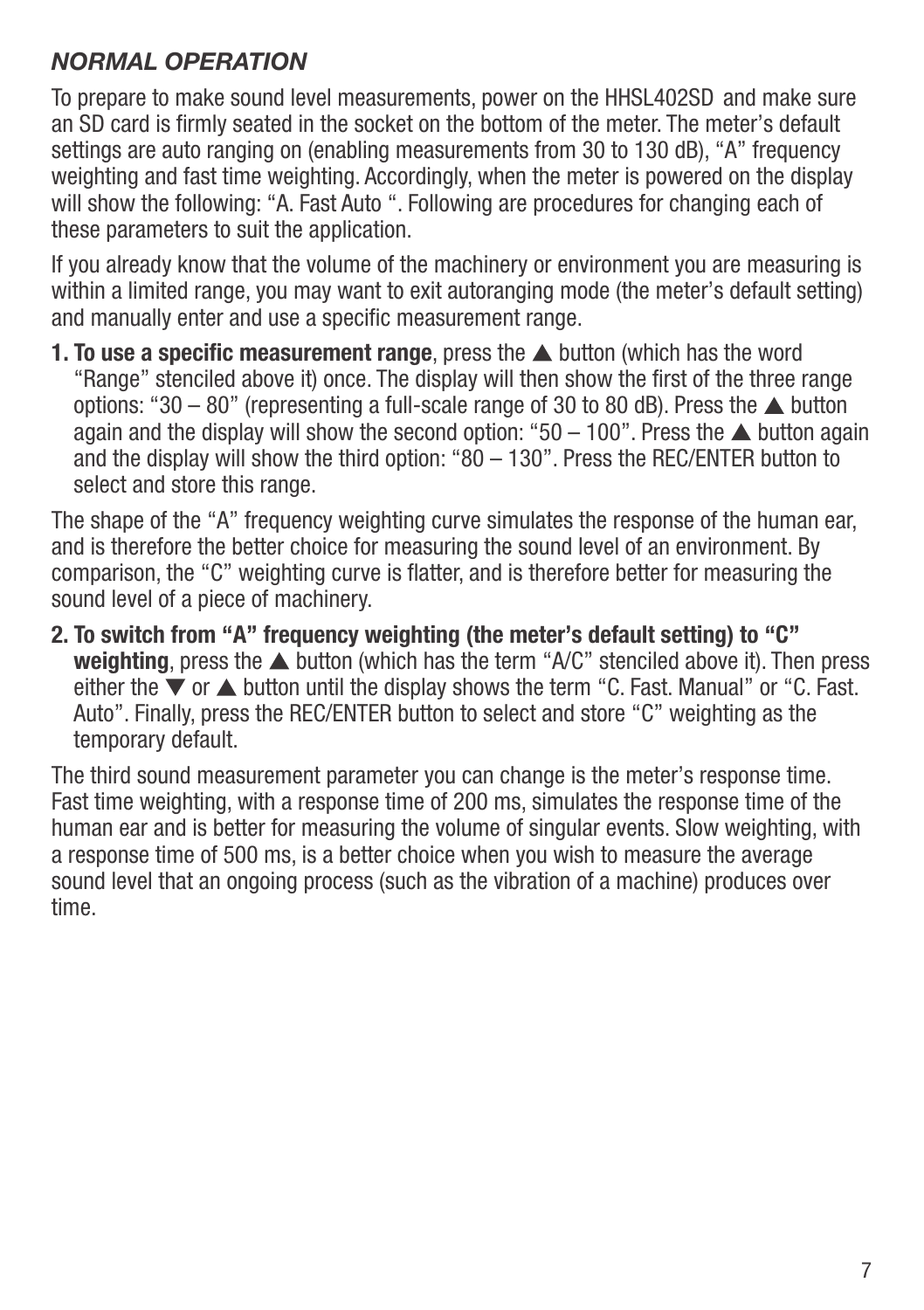#### *NORMAL OPERATION*

To prepare to make sound level measurements, power on the HHSL402SD and make sure an SD card is firmly seated in the socket on the bottom of the meter. The meter's default settings are auto ranging on (enabling measurements from 30 to 130 dB), "A" frequency weighting and fast time weighting. Accordingly, when the meter is powered on the display will show the following: "A. Fast Auto ". Following are procedures for changing each of these parameters to suit the application.

If you already know that the volume of the machinery or environment you are measuring is within a limited range, you may want to exit autoranging mode (the meter's default setting) and manually enter and use a specific measurement range.

**1. To use a specific measurement range**, press the  $\triangle$  button (which has the word "Range" stenciled above it) once. The display will then show the first of the three range options: "30 – 80" (representing a full-scale range of 30 to 80 dB). Press the  $\triangle$  button again and the display will show the second option: " $50 - 100$ ". Press the  $\blacktriangle$  button again and the display will show the third option: "80 – 130". Press the REC/ENTER button to select and store this range.

The shape of the "A" frequency weighting curve simulates the response of the human ear, and is therefore the better choice for measuring the sound level of an environment. By comparison, the "C" weighting curve is flatter, and is therefore better for measuring the sound level of a piece of machinery.

**2. To switch from "A" frequency weighting (the meter's default setting) to "C" weighting**, press the  $\triangle$  button (which has the term "A/C" stenciled above it). Then press either the  $\blacktriangledown$  or  $\blacktriangle$  button until the display shows the term "C. Fast. Manual" or "C. Fast. Auto". Finally, press the REC/ENTER button to select and store "C" weighting as the temporary default.

The third sound measurement parameter you can change is the meter's response time. Fast time weighting, with a response time of 200 ms, simulates the response time of the human ear and is better for measuring the volume of singular events. Slow weighting, with a response time of 500 ms, is a better choice when you wish to measure the average sound level that an ongoing process (such as the vibration of a machine) produces over time.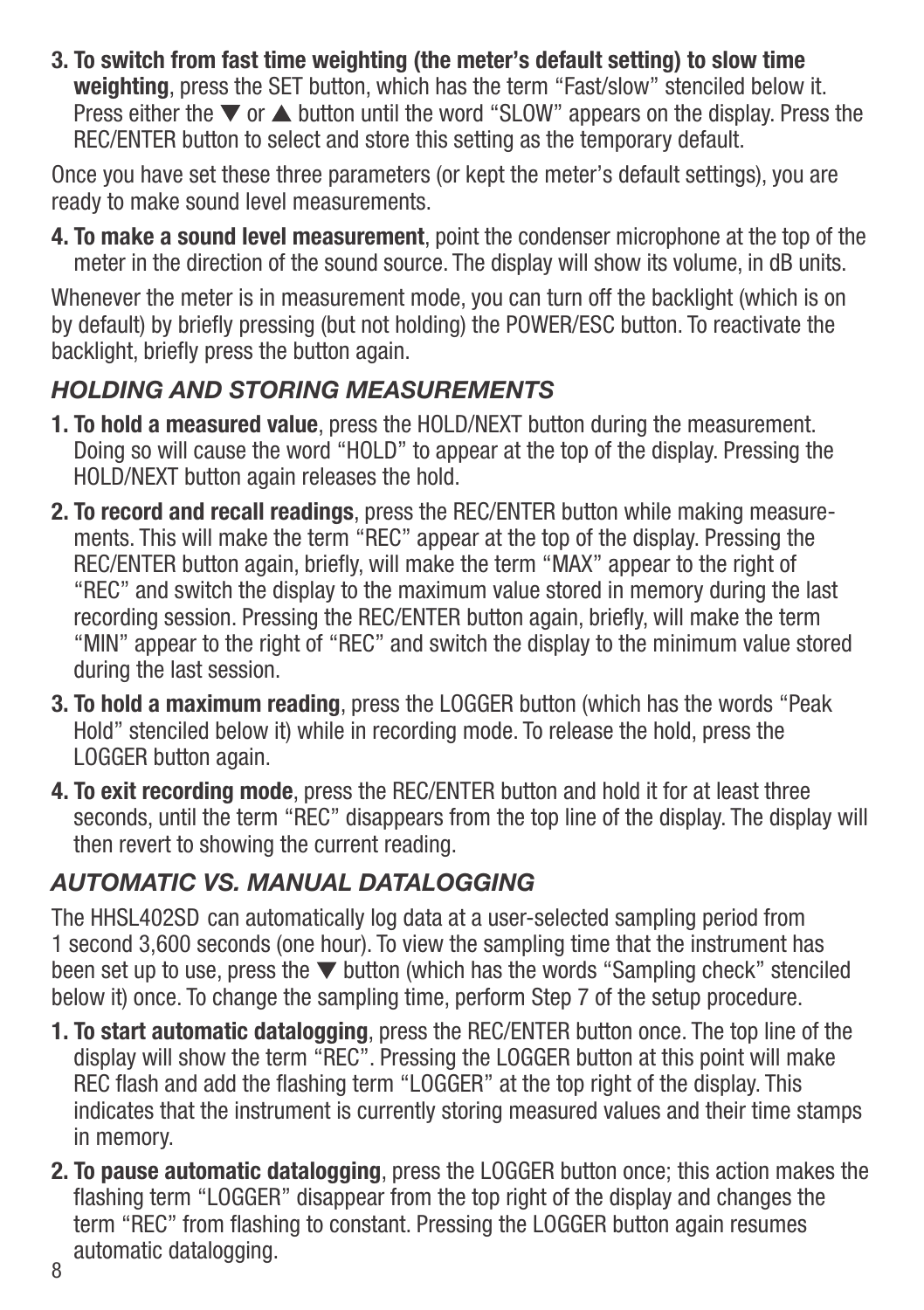**3. To switch from fast time weighting (the meter's default setting) to slow time weighting**, press the SET button, which has the term "Fast/slow" stenciled below it. Press either the  $\nabla$  or  $\triangle$  button until the word "SLOW" appears on the display. Press the REC/ENTER button to select and store this setting as the temporary default.

Once you have set these three parameters (or kept the meter's default settings), you are ready to make sound level measurements.

**4. To make a sound level measurement**, point the condenser microphone at the top of the meter in the direction of the sound source. The display will show its volume, in dB units.

Whenever the meter is in measurement mode, you can turn off the backlight (which is on by default) by briefly pressing (but not holding) the POWER/ESC button. To reactivate the backlight, briefly press the button again.

#### *HOLDING AND STORING MEASUREMENTS*

- **1. To hold a measured value**, press the HOLD/NEXT button during the measurement. Doing so will cause the word "HOLD" to appear at the top of the display. Pressing the HOLD/NEXT button again releases the hold.
- **2. To record and recall readings**, press the REC/ENTER button while making measure ments. This will make the term "REC" appear at the top of the display. Pressing the REC/ENTER button again, briefly, will make the term "MAX" appear to the right of "REC" and switch the display to the maximum value stored in memory during the last recording session. Pressing the REC/ENTER button again, briefly, will make the term "MIN" appear to the right of "REC" and switch the display to the minimum value stored during the last session.
- **3. To hold a maximum reading**, press the LOGGER button (which has the words "Peak Hold" stenciled below it) while in recording mode. To release the hold, press the LOGGER button again.
- **4. To exit recording mode**, press the REC/ENTER button and hold it for at least three seconds, until the term "REC" disappears from the top line of the display. The display will then revert to showing the current reading.

### *AUTOMATIC VS. MANUAL DATALOGGING*

The HHSL402SD can automatically log data at a user-selected sampling period from 1 second 3,600 seconds (one hour). To view the sampling time that the instrument has been set up to use, press the  $\nabla$  button (which has the words "Sampling check" stenciled below it) once. To change the sampling time, perform Step 7 of the setup procedure.

- **1. To start automatic datalogging**, press the REC/ENTER button once. The top line of the display will show the term "REC". Pressing the LOGGER button at this point will make REC flash and add the flashing term "LOGGER" at the top right of the display. This indicates that the instrument is currently storing measured values and their time stamps in memory.
- **2. To pause automatic datalogging**, press the LOGGER button once; this action makes the flashing term "LOGGER" disappear from the top right of the display and changes the term "REC" from flashing to constant. Pressing the LOGGER button again resumes automatic datalogging. 8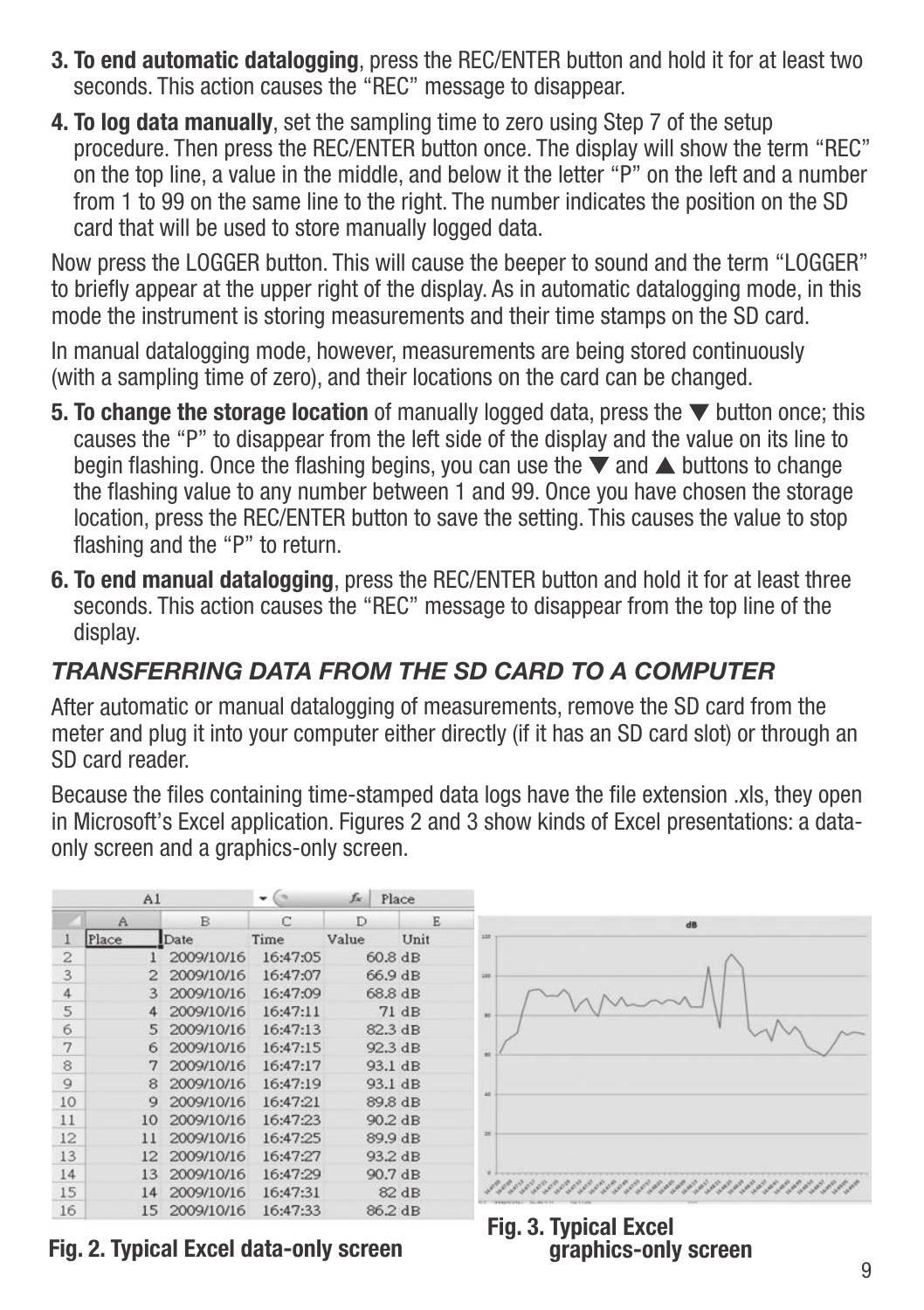- **3. To end automatic datalogging**, press the REC/ENTER button and hold it for at least two seconds. This action causes the "REC" message to disappear.
- **4. To log data manually**, set the sampling time to zero using Step 7 of the setup procedure. Then press the REC/ENTER button once. The display will show the term "REC" on the top line, a value in the middle, and below it the letter "P" on the left and a number from 1 to 99 on the same line to the right. The number indicates the position on the SD card that will be used to store manually logged data.

Now press the LOGGER button. This will cause the beeper to sound and the term "LOGGER" to briefly appear at the upper right of the display. As in automatic datalogging mode, in this mode the instrument is storing measurements and their time stamps on the SD card.

In manual datalogging mode, however, measurements are being stored continuously (with a sampling time of zero), and their locations on the card can be changed.

- **5. To change the storage location** of manually logged data, press the  $\blacktriangledown$  button once; this causes the "P" to disappear from the left side of the display and the value on its line to begin flashing. Once the flashing begins, you can use the  $\blacktriangledown$  and  $\blacktriangle$  buttons to change the flashing value to any number between 1 and 99. Once you have chosen the storage location, press the REC/ENTER button to save the setting. This causes the value to stop flashing and the "P" to return.
- **6. To end manual datalogging**, press the REC/ENTER button and hold it for at least three seconds. This action causes the "REC" message to disappear from the top line of the display.

#### *TRANSFERRING DATA FROM THE SD CARD TO A COMPUTER*

After automatic or manual datalogging of measurements, remove the SD card from the meter and plug it into your computer either directly (if it has an SD card slot) or through an SD card reader.

Because the files containing time-stamped data logs have the file extension .xls, they open in Microsoft's Excel application. Figures 2 and 3 show kinds of Excel presentations: a dataonly screen and a graphics-only screen.

| A <sub>1</sub> |           |            | $f_x$    | Place     |         |  |
|----------------|-----------|------------|----------|-----------|---------|--|
|                | Α         | B          | $\Gamma$ | D         | E       |  |
| 1              | Place     | Date       | Time     | Value     | Unit    |  |
| $\overline{c}$ |           | 2009/10/16 | 16:47:05 | $60.8$ dB |         |  |
| 3              | 2         | 2009/10/16 | 16:47:07 | 66.9 dB   |         |  |
| $\overline{4}$ | 3         | 2009/10/16 | 16:47:09 | 68.8 dB   |         |  |
| 5              | 4         | 2009/10/16 | 16:47:11 | 71dB      |         |  |
| 6              | 5         | 2009/10/16 | 16:47:13 |           | 82.3 dB |  |
| 7              | 6         | 2009/10/16 | 16:47:15 |           | 92.3 dB |  |
| 8              | 7         | 2009/10/16 | 16:47:17 |           | 93.1 dB |  |
| 9              | 8         | 2009/10/16 | 16:47:19 |           | 93.1 dB |  |
| 10             | g         | 2009/10/16 | 16:47:21 | 89.8 dB   |         |  |
| 11             | 10        | 2009/10/16 | 16:47:23 | 90.2 dB   |         |  |
| 12             | 11        | 2009/10/16 | 16:47:25 | 89.9 dB   |         |  |
| 13             | $12^{12}$ | 2009/10/16 | 16:47:27 | 93.2 dB   |         |  |
| 14             | 13        | 2009/10/16 | 16:47:29 |           | 90.7 dB |  |
| 15             | 14        | 2009/10/16 | 16:47:31 | 82 dB     |         |  |
| 16             | 15        | 2009/10/16 | 16:47:33 |           | 86.2 dB |  |



**graphics-only screen**

**Fig. 2. Typical Excel data-only screen Fig. 3. Typical Excel**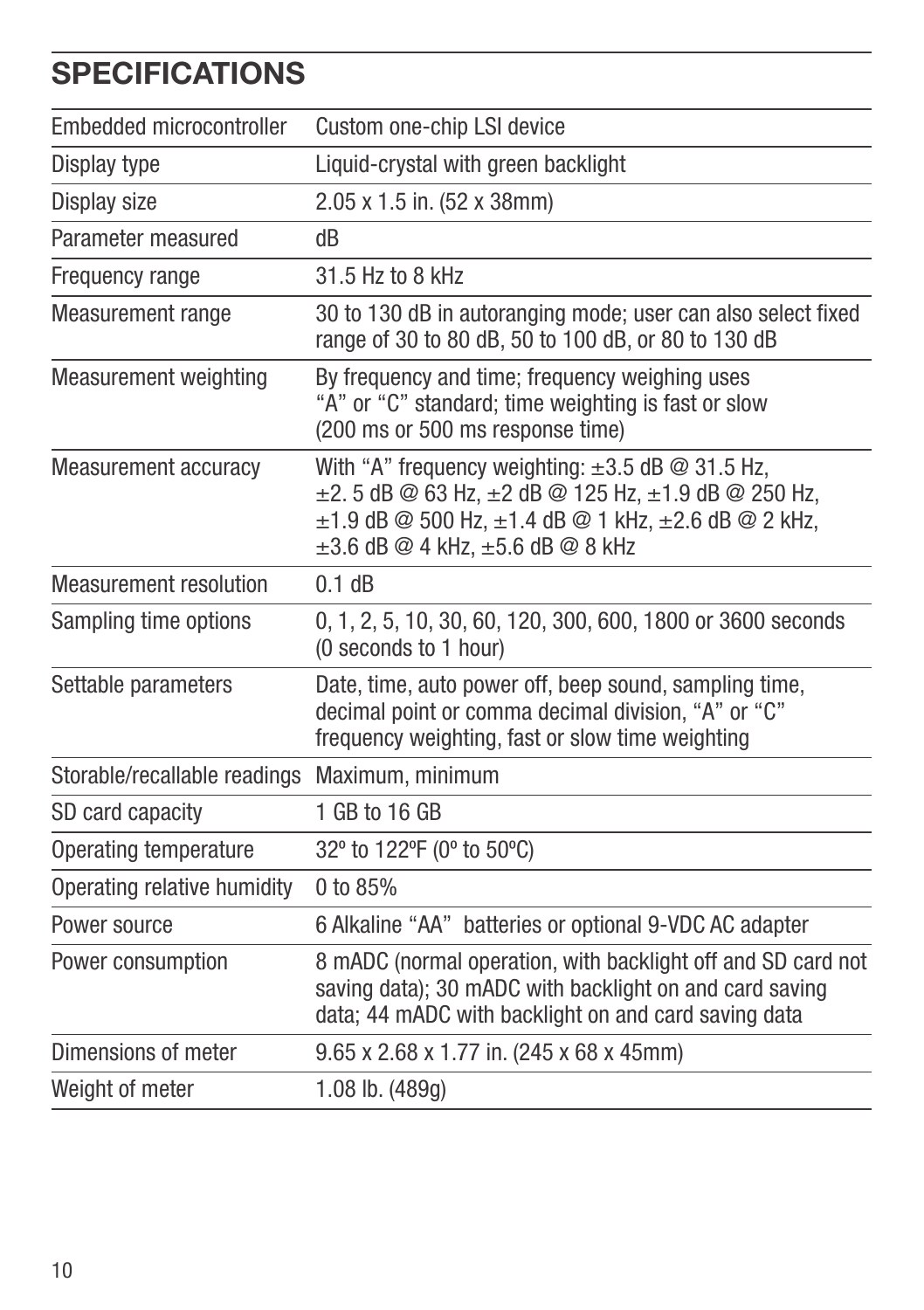## **SPECIFICATIONS**

| Embedded microcontroller      | Custom one-chip LSI device                                                                                                                                                                                                            |
|-------------------------------|---------------------------------------------------------------------------------------------------------------------------------------------------------------------------------------------------------------------------------------|
| Display type                  | Liquid-crystal with green backlight                                                                                                                                                                                                   |
| Display size                  | 2.05 x 1.5 in. (52 x 38mm)                                                                                                                                                                                                            |
| Parameter measured            | dB                                                                                                                                                                                                                                    |
| Frequency range               | 31.5 Hz to 8 kHz                                                                                                                                                                                                                      |
| Measurement range             | 30 to 130 dB in autoranging mode; user can also select fixed<br>range of 30 to 80 dB, 50 to 100 dB, or 80 to 130 dB                                                                                                                   |
| <b>Measurement weighting</b>  | By frequency and time; frequency weighing uses<br>"A" or "C" standard; time weighting is fast or slow<br>(200 ms or 500 ms response time)                                                                                             |
| Measurement accuracy          | With "A" frequency weighting: $\pm 3.5$ dB @ 31.5 Hz,<br>$\pm$ 2. 5 dB @ 63 Hz, $\pm$ 2 dB @ 125 Hz, $\pm$ 1.9 dB @ 250 Hz,<br>$\pm 1.9$ dB @ 500 Hz, $\pm 1.4$ dB @ 1 kHz, $\pm 2.6$ dB @ 2 kHz,<br>±3.6 dB @ 4 kHz, ±5.6 dB @ 8 kHz |
| <b>Measurement resolution</b> | 0.1 dB                                                                                                                                                                                                                                |
| Sampling time options         | 0, 1, 2, 5, 10, 30, 60, 120, 300, 600, 1800 or 3600 seconds<br>(0 seconds to 1 hour)                                                                                                                                                  |
| Settable parameters           | Date, time, auto power off, beep sound, sampling time,<br>decimal point or comma decimal division, "A" or "C"<br>frequency weighting, fast or slow time weighting                                                                     |
| Storable/recallable readings  | Maximum, minimum                                                                                                                                                                                                                      |
| SD card capacity              | 1 GB to 16 GB                                                                                                                                                                                                                         |
| Operating temperature         | 32° to 122°F (0° to 50°C)                                                                                                                                                                                                             |
| Operating relative humidity   | 0 to 85%                                                                                                                                                                                                                              |
| Power source                  | 6 Alkaline "AA" batteries or optional 9-VDC AC adapter                                                                                                                                                                                |
| Power consumption             | 8 mADC (normal operation, with backlight off and SD card not<br>saving data); 30 mADC with backlight on and card saving<br>data; 44 mADC with backlight on and card saving data                                                       |
| Dimensions of meter           | 9.65 x 2.68 x 1.77 in. (245 x 68 x 45mm)                                                                                                                                                                                              |
| Weight of meter               | 1.08 lb. (489g)                                                                                                                                                                                                                       |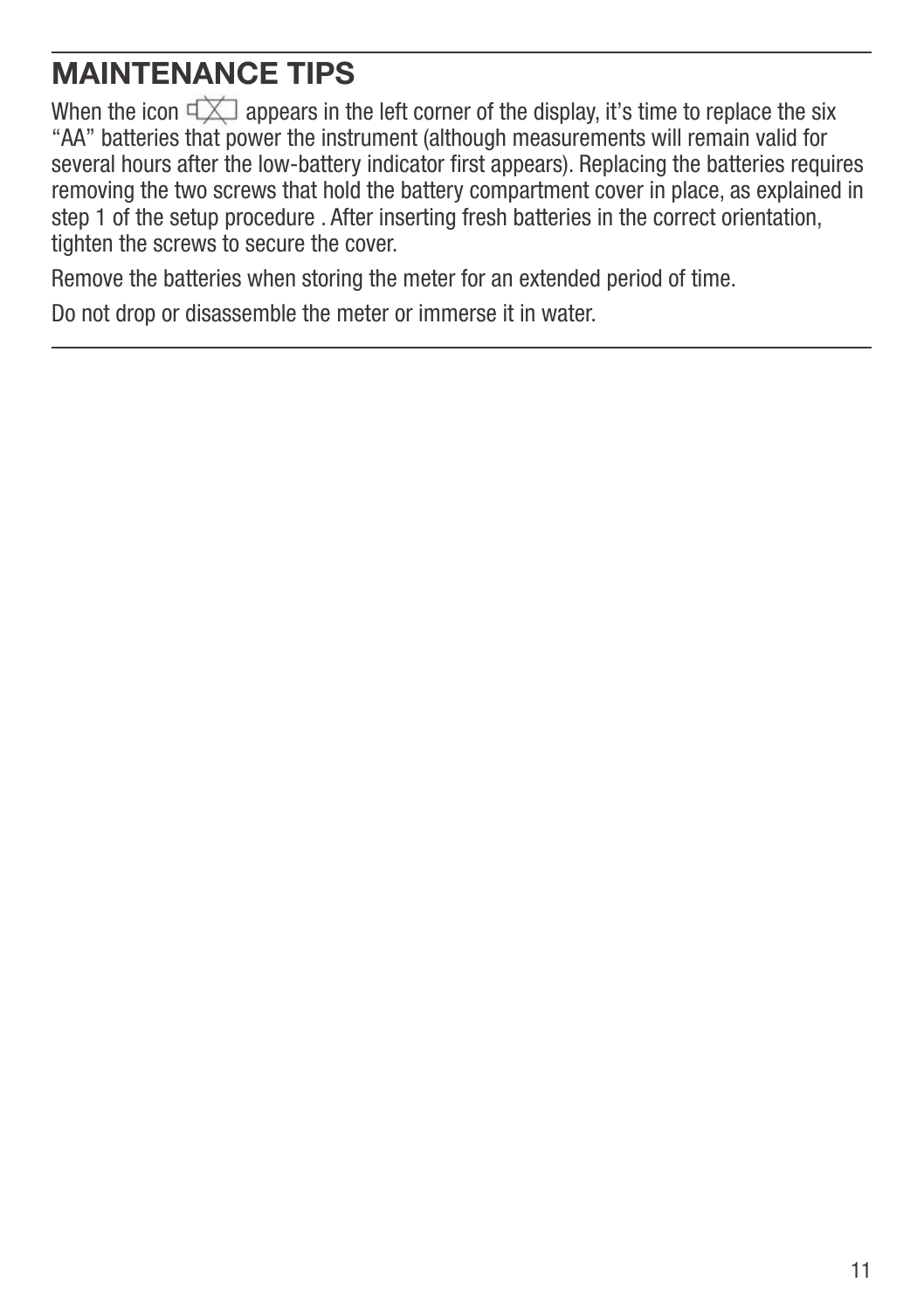### **MAINTENANCE TIPS**

When the icon  $\exists x$  appears in the left corner of the display, it's time to replace the six "AA" batteries that power the instrument (although measurements will remain valid for several hours after the low-battery indicator first appears). Replacing the batteries requires removing the two screws that hold the battery compartment cover in place, as explained in step 1 of the setup procedure . After inserting fresh batteries in the correct orientation, tighten the screws to secure the cover.

Remove the batteries when storing the meter for an extended period of time.

Do not drop or disassemble the meter or immerse it in water.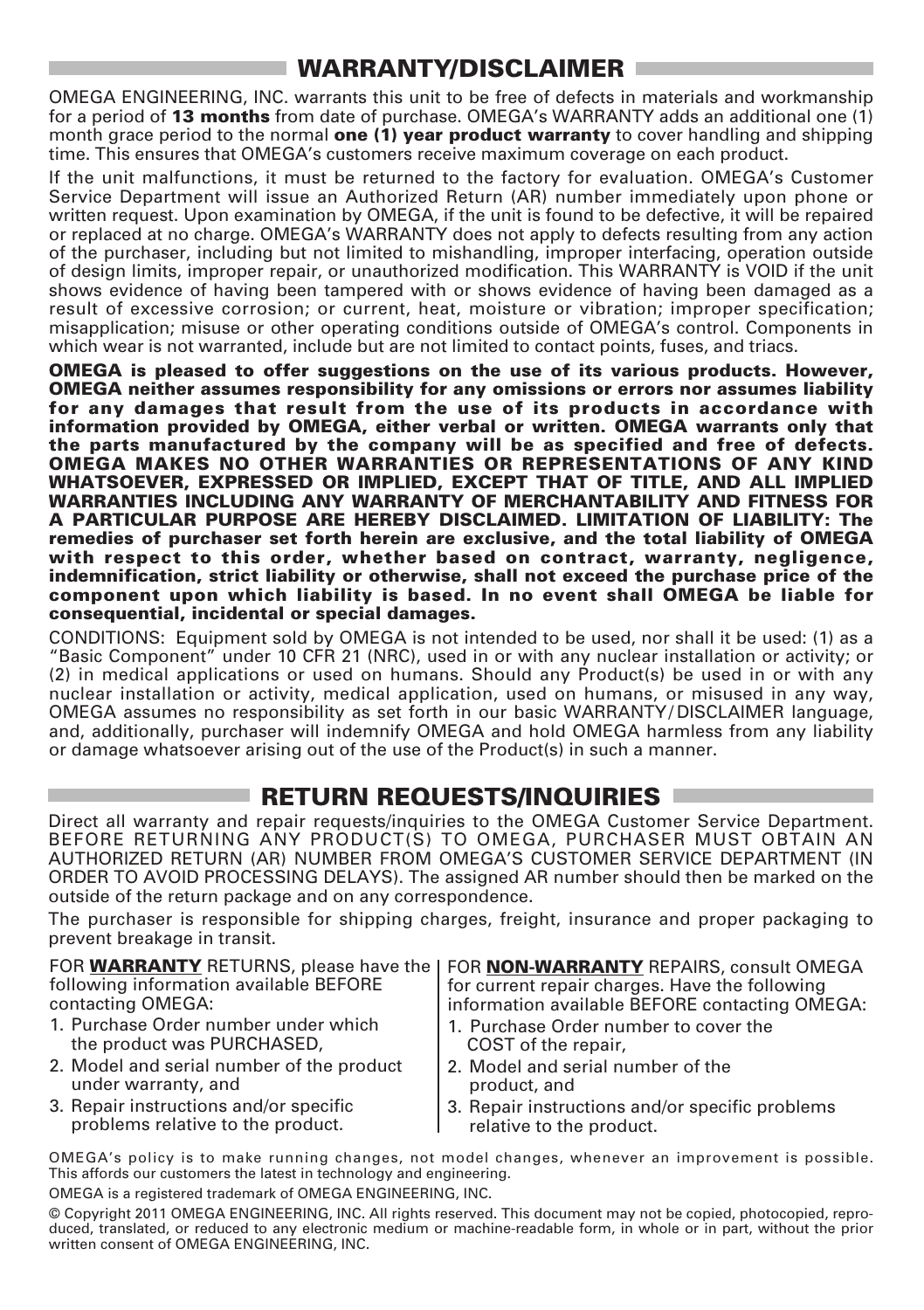#### **WARRANTY/DISCLAIMER**

OMEGA ENGINEERING, INC. warrants this unit to be free of defects in materials and workmanship for a period of **13 months** from date of purchase. OMEGA's WARRANTY adds an additional one (1) month grace period to the normal **one (1) year product warranty** to cover handling and shipping time. This ensures that OMEGA's customers receive maximum coverage on each product.

If the unit malfunctions, it must be returned to the factory for evaluation. OMEGA's Customer Service Department will issue an Authorized Return (AR) number immediately upon phone or written request. Upon examination by OMEGA, if the unit is found to be defective, it will be repaired or replaced at no charge. OMEGA's WARRANTY does not apply to defects resulting from any action of the purchaser, including but not limited to mishandling, improper interfacing, operation outside of design limits, improper repair, or unauthorized modification. This WARRANTY is VOID if the unit shows evidence of having been tampered with or shows evidence of having been damaged as a result of excessive corrosion; or current, heat, moisture or vibration; improper specification; misapplication; misuse or other operating conditions outside of OMEGA's control. Components in which wear is not warranted, include but are not limited to contact points, fuses, and triacs.

**OMEGA is pleased to offer suggestions on the use of its various products. However, OMEGA neither assumes responsibility for any omissions or errors nor assumes liability for any damages that result from the use of its products in accordance with information provided by OMEGA, either verbal or written. OMEGA warrants only that the parts manufactured by the company will be as specified and free of defects. OMEGA MAKES NO OTHER WARRANTIES OR REPRESENTATIONS OF ANY KIND WHATSOEVER, EXPRESSED OR IMPLIED, EXCEPT THAT OF TITLE, AND ALL IMPLIED WARRANTIES INCLUDING ANY WARRANTY OF MERCHANTABILITY AND FITNESS FOR A PARTICULAR PURPOSE ARE HEREBY DISCLAIMED. LIMITATION OF LIABILITY: The remedies of purchaser set forth herein are exclusive, and the total liability of OMEGA with respect to this order, whether based on contract, warranty, negligence, indemnification, strict liability or otherwise, shall not exceed the purchase price of the component upon which liability is based. In no event shall OMEGA be liable for consequential, incidental or special damages.**

CONDITIONS: Equipment sold by OMEGA is not intended to be used, nor shall it be used: (1) as a "Basic Component" under 10 CFR 21 (NRC), used in or with any nuclear installation or activity; or (2) in medical applications or used on humans. Should any Product(s) be used in or with any nuclear installation or activity, medical application, used on humans, or misused in any way, OMEGA assumes no responsibility as set forth in our basic WARRANTY/ DISCLAIMER language, and, additionally, purchaser will indemnify OMEGA and hold OMEGA harmless from any liability or damage whatsoever arising out of the use of the Product(s) in such a manner.

#### **RETURN REQUESTS/INQUIRIES**

Direct all warranty and repair requests/inquiries to the OMEGA Customer Service Department. BEFORE RETURNING ANY PRODUCT(S) TO OMEGA, PURCHASER MUST OBTAIN AN AUTHORIZED RETURN (AR) NUMBER FROM OMEGA'S CUSTOMER SERVICE DEPARTMENT (IN ORDER TO AVOID PROCESSING DELAYS). The assigned AR number should then be marked on the outside of the return package and on any correspondence.

The purchaser is responsible for shipping charges, freight, insurance and proper packaging to prevent breakage in transit.

FOR **WARRANTY** RETURNS, please have the | following information available BEFORE contacting OMEGA:

- 1. Purchase Order number under which the product was PURCHASED,
- 2. Model and serial number of the product under warranty, and
- 3. Repair instructions and/or specific problems relative to the product.

FOR **NON-WARRANTY** REPAIRS, consult OMEGA for current repair charges. Have the following information available BEFORE contacting OMEGA:

- 1. Purchase Order number to cover the COST of the repair,
- 2. Model and serial number of the product, and
- 3. Repair instructions and/or specific problems relative to the product.

OMEGA's policy is to make running changes, not model changes, whenever an improvement is possible. This affords our customers the latest in technology and engineering.

OMEGA is a registered trademark of OMEGA ENGINEERING, INC.

© Copyright 2011 OMEGA ENGINEERING, INC. All rights reserved. This document may not be copied, photocopied, reproduced, translated, or reduced to any electronic medium or machine-readable form, in whole or in part, without the prior written consent of OMEGA ENGINEERING, INC.